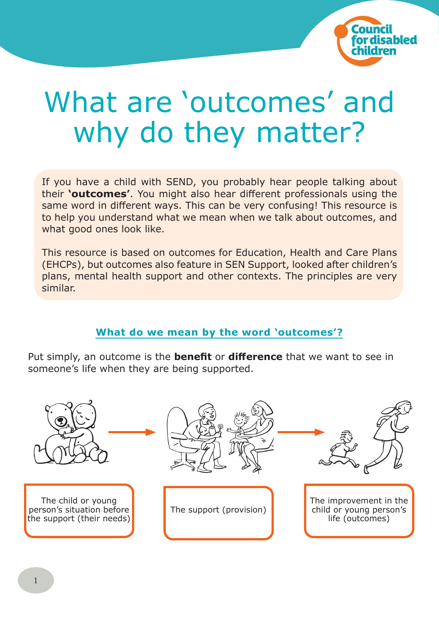

# What are 'outcomes' and why do they matter?

If you have a child with SEND, you probably hear people talking about their **'outcomes'**. You might also hear different professionals using the same word in different ways. This can be very confusing! This resource is to help you understand what we mean when we talk about outcomes, and what good ones look like.

This resource is based on outcomes for Education, Health and Care Plans (EHCPs), but outcomes also feature in SEN Support, looked after children's plans, mental health support and other contexts. The principles are very similar.

## **What do we mean by the word 'outcomes'?**

Put simply, an outcome is the **benefit** or **difference** that we want to see in someone's life when they are being supported.

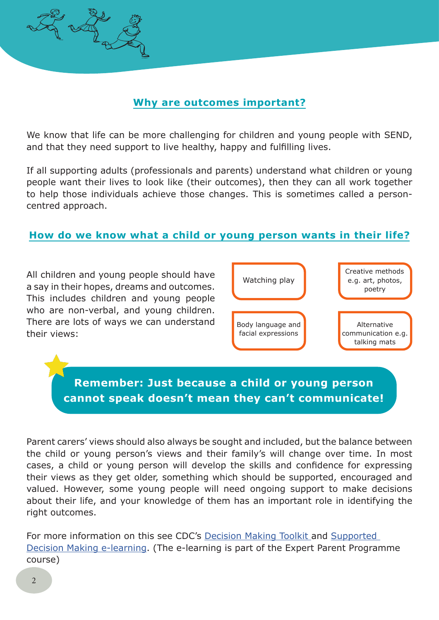

We know that life can be more challenging for children and young people with SEND, and that they need support to live healthy, happy and fulfilling lives.

If all supporting adults (professionals and parents) understand what children or young people want their lives to look like (their outcomes), then they can all work together to help those individuals achieve those changes. This is sometimes called a personcentred approach.

#### **How do we know what a child or young person wants in their life?**

All children and young people should have a say in their hopes, dreams and outcomes. This includes children and young people who are non-verbal, and young children. There are lots of ways we can understand their views:



**Remember: Just because a child or young person cannot speak doesn't mean they can't communicate!**

Parent carers' views should also always be sought and included, but the balance between the child or young person's views and their family's will change over time. In most cases, a child or young person will develop the skills and confidence for expressing their views as they get older, something which should be supported, encouraged and valued. However, some young people will need ongoing support to make decisions about their life, and your knowledge of them has an important role in identifying the right outcomes.

For more information on this see CDC's Decision Making Toolkit and Supported Decision Making e-learning. (The e-learning is part of the Expert Parent Programme course)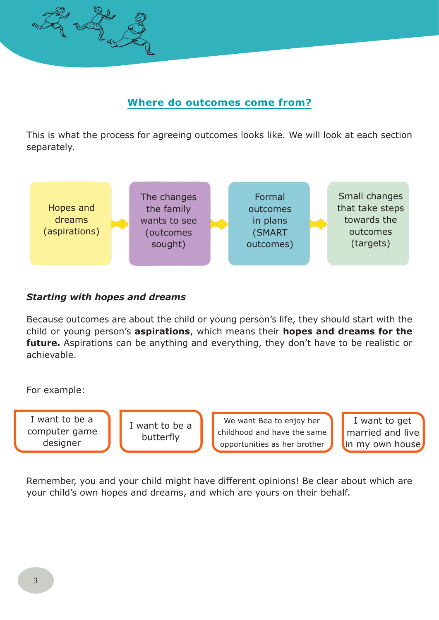

## **Where do outcomes come from?**

This is what the process for agreeing outcomes looks like. We will look at each section separately.



#### *Starting with hopes and dreams*

Because outcomes are about the child or young person's life, they should start with the child or young person's **aspirations**, which means their **hopes and dreams for the future.** Aspirations can be anything and everything, they don't have to be realistic or achievable.

For example:

I want to be a computer game designer

I want to be a butterfly

We want Bea to enjoy her childhood and have the same opportunities as her brother

I want to get married and live in my own house

Remember, you and your child might have different opinions! Be clear about which are your child's own hopes and dreams, and which are yours on their behalf.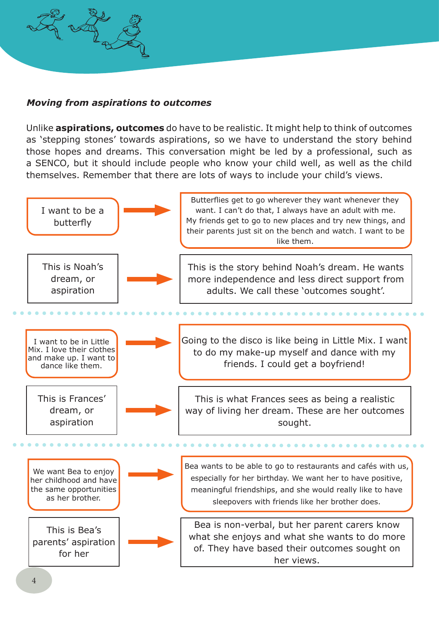

#### *Moving from aspirations to outcomes*

Unlike **aspirations, outcomes** do have to be realistic. It might help to think of outcomes as 'stepping stones' towards aspirations, so we have to understand the story behind those hopes and dreams. This conversation might be led by a professional, such as a SENCO, but it should include people who know your child well, as well as the child themselves. Remember that there are lots of ways to include your child's views.

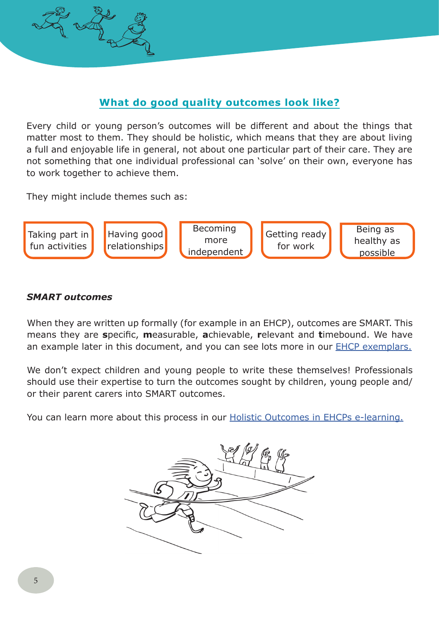

## **What do good quality outcomes look like?**

Every child or young person's outcomes will be different and about the things that matter most to them. They should be holistic, which means that they are about living a full and enjoyable life in general, not about one particular part of their care. They are not something that one individual professional can 'solve' on their own, everyone has to work together to achieve them.

They might include themes such as:



#### *SMART outcomes*

When they are written up formally (for example in an EHCP), outcomes are SMART. This means they are **s**pecific, **m**easurable, **a**chievable, **r**elevant and **t**imebound. We have an example later in this document, and you can see lots more in our EHCP exemplars.

We don't expect children and young people to write these themselves! Professionals should use their expertise to turn the outcomes sought by children, young people and/ or their parent carers into SMART outcomes.

You can learn more about this process in our Holistic Outcomes in EHCPs e-learning.

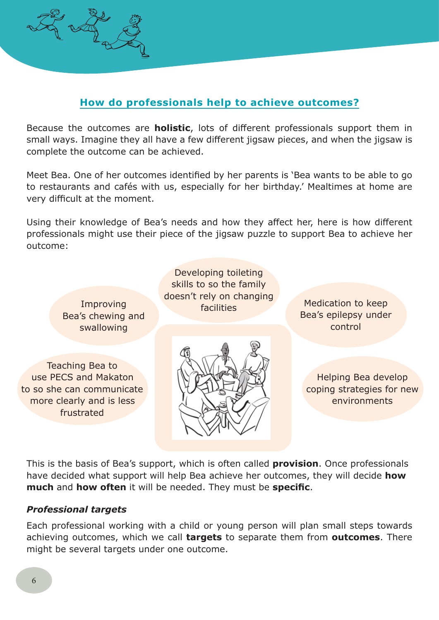

### **How do professionals help to achieve outcomes?**

Because the outcomes are **holistic**, lots of different professionals support them in small ways. Imagine they all have a few different jigsaw pieces, and when the jigsaw is complete the outcome can be achieved.

Meet Bea. One of her outcomes identified by her parents is 'Bea wants to be able to go to restaurants and cafés with us, especially for her birthday.' Mealtimes at home are very difficult at the moment.

Using their knowledge of Bea's needs and how they affect her, here is how different professionals might use their piece of the jigsaw puzzle to support Bea to achieve her outcome:

Improving Bea's chewing and swallowing

Teaching Bea to use PECS and Makaton to so she can communicate more clearly and is less frustrated

Developing toileting skills to so the family doesn't rely on changing



facilities Medication to keep Bea's epilepsy under control

> Helping Bea develop coping strategies for new environments

This is the basis of Bea's support, which is often called **provision**. Once professionals have decided what support will help Bea achieve her outcomes, they will decide **how much** and **how often** it will be needed. They must be **specific**.

#### *Professional targets*

Each professional working with a child or young person will plan small steps towards achieving outcomes, which we call **targets** to separate them from **outcomes**. There might be several targets under one outcome.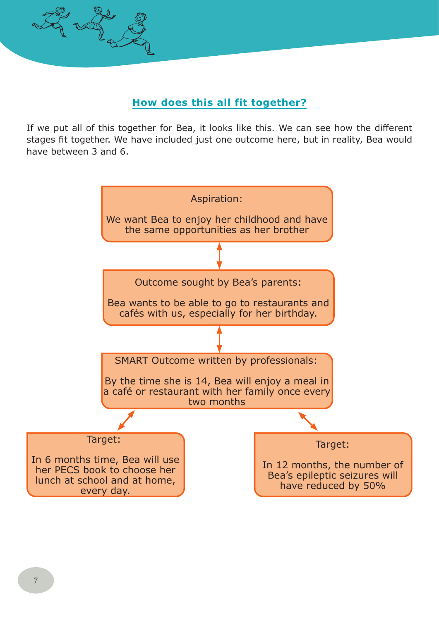

### **How does this all fit together?**

If we put all of this together for Bea, it looks like this. We can see how the different stages fit together. We have included just one outcome here, but in reality, Bea would have between 3 and 6.